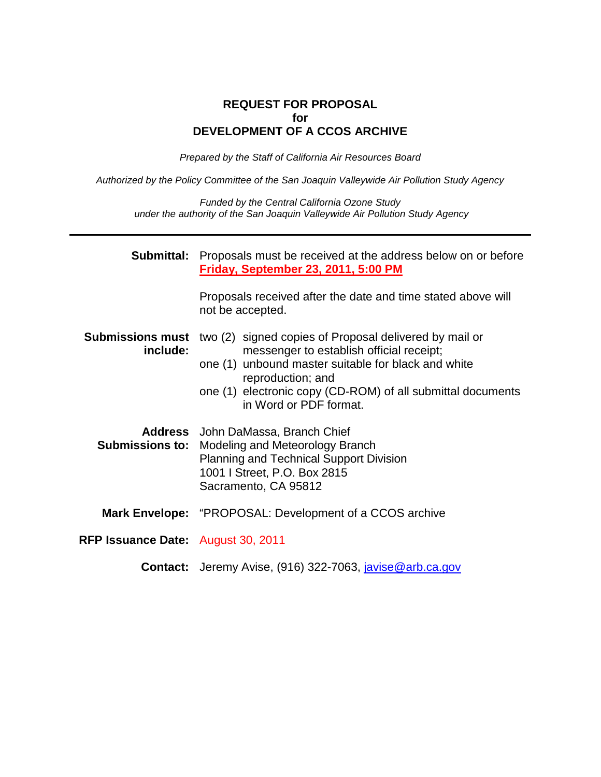#### **REQUEST FOR PROPOSAL for DEVELOPMENT OF A CCOS ARCHIVE**

Prepared by the Staff of California Air Resources Board

Authorized by the Policy Committee of the San Joaquin Valleywide Air Pollution Study Agency

Funded by the Central California Ozone Study under the authority of the San Joaquin Valleywide Air Pollution Study Agency

| Submittal:                          | Proposals must be received at the address below on or before<br>Friday, September 23, 2011, 5:00 PM                                                                                                                                                                     |
|-------------------------------------|-------------------------------------------------------------------------------------------------------------------------------------------------------------------------------------------------------------------------------------------------------------------------|
|                                     | Proposals received after the date and time stated above will<br>not be accepted.                                                                                                                                                                                        |
| <b>Submissions must</b><br>include: | two (2) signed copies of Proposal delivered by mail or<br>messenger to establish official receipt;<br>one (1) unbound master suitable for black and white<br>reproduction; and<br>one (1) electronic copy (CD-ROM) of all submittal documents<br>in Word or PDF format. |
|                                     | Address John DaMassa, Branch Chief<br><b>Submissions to: Modeling and Meteorology Branch</b><br><b>Planning and Technical Support Division</b><br>1001   Street, P.O. Box 2815<br>Sacramento, CA 95812                                                                  |
|                                     | <b>Mark Envelope:</b> "PROPOSAL: Development of a CCOS archive                                                                                                                                                                                                          |
| RFP Issuance Date: August 30, 2011  |                                                                                                                                                                                                                                                                         |
|                                     | <b>Contact:</b> Jeremy Avise, (916) 322-7063, <i>javise@arb.ca.gov</i>                                                                                                                                                                                                  |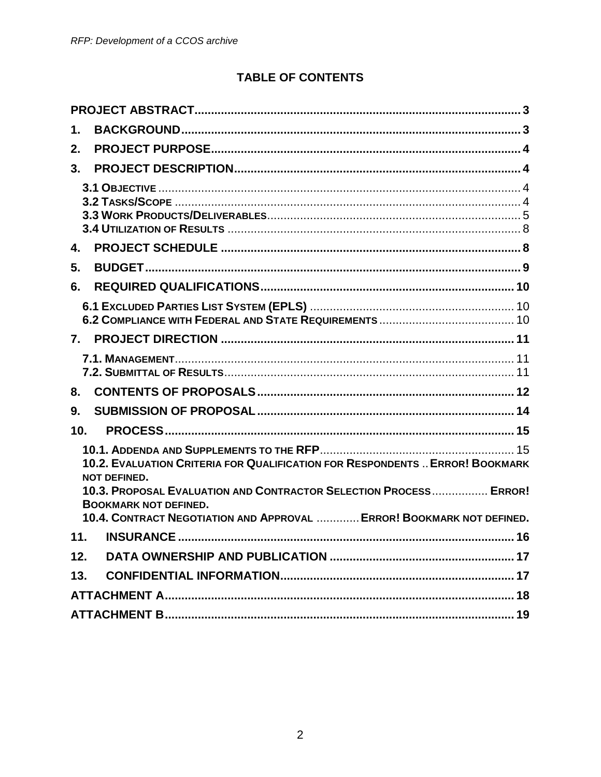# **TABLE OF CONTENTS**

| $\mathbf 1$ . |                                                                                                                                                                            |
|---------------|----------------------------------------------------------------------------------------------------------------------------------------------------------------------------|
| 2.            |                                                                                                                                                                            |
| 3.            |                                                                                                                                                                            |
|               |                                                                                                                                                                            |
| 4.            |                                                                                                                                                                            |
| 5.            |                                                                                                                                                                            |
| 6.            |                                                                                                                                                                            |
|               |                                                                                                                                                                            |
| 7.            |                                                                                                                                                                            |
|               |                                                                                                                                                                            |
| 8.            |                                                                                                                                                                            |
| 9.            |                                                                                                                                                                            |
| 10.           |                                                                                                                                                                            |
|               | 10.2. EVALUATION CRITERIA FOR QUALIFICATION FOR RESPONDENTS  ERROR! BOOKMARK<br><b>NOT DEFINED.</b>                                                                        |
|               | 10.3. PROPOSAL EVALUATION AND CONTRACTOR SELECTION PROCESS ERROR!<br><b>BOOKMARK NOT DEFINED.</b><br>10.4. CONTRACT NEGOTIATION AND APPROVAL  ERROR! BOOKMARK NOT DEFINED. |
| 11.           |                                                                                                                                                                            |
| 12.           |                                                                                                                                                                            |
| 13.           |                                                                                                                                                                            |
|               |                                                                                                                                                                            |
|               |                                                                                                                                                                            |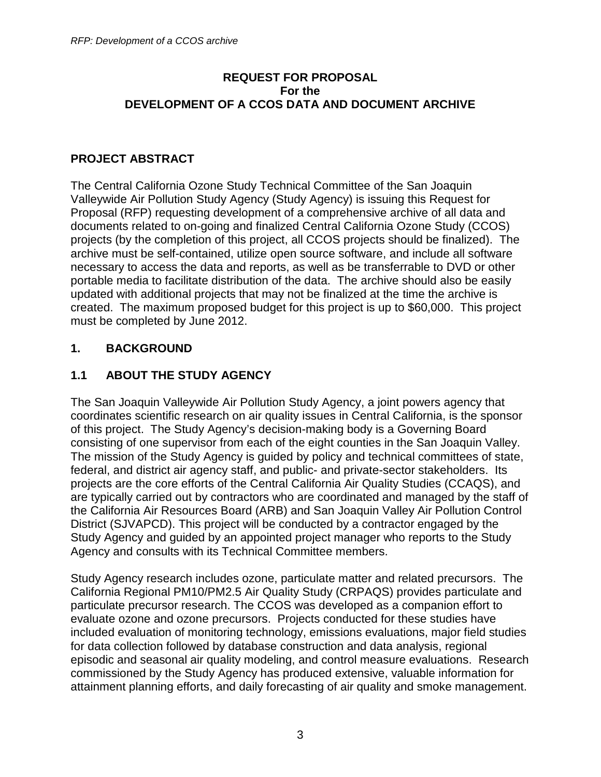#### **REQUEST FOR PROPOSAL For the DEVELOPMENT OF A CCOS DATA AND DOCUMENT ARCHIVE**

## **PROJECT ABSTRACT**

The Central California Ozone Study Technical Committee of the San Joaquin Valleywide Air Pollution Study Agency (Study Agency) is issuing this Request for Proposal (RFP) requesting development of a comprehensive archive of all data and documents related to on-going and finalized Central California Ozone Study (CCOS) projects (by the completion of this project, all CCOS projects should be finalized). The archive must be self-contained, utilize open source software, and include all software necessary to access the data and reports, as well as be transferrable to DVD or other portable media to facilitate distribution of the data. The archive should also be easily updated with additional projects that may not be finalized at the time the archive is created. The maximum proposed budget for this project is up to \$60,000. This project must be completed by June 2012.

#### **1. BACKGROUND**

## **1.1 ABOUT THE STUDY AGENCY**

The San Joaquin Valleywide Air Pollution Study Agency, a joint powers agency that coordinates scientific research on air quality issues in Central California, is the sponsor of this project. The Study Agency's decision-making body is a Governing Board consisting of one supervisor from each of the eight counties in the San Joaquin Valley. The mission of the Study Agency is guided by policy and technical committees of state, federal, and district air agency staff, and public- and private-sector stakeholders. Its projects are the core efforts of the Central California Air Quality Studies (CCAQS), and are typically carried out by contractors who are coordinated and managed by the staff of the California Air Resources Board (ARB) and San Joaquin Valley Air Pollution Control District (SJVAPCD). This project will be conducted by a contractor engaged by the Study Agency and guided by an appointed project manager who reports to the Study Agency and consults with its Technical Committee members.

Study Agency research includes ozone, particulate matter and related precursors. The California Regional PM10/PM2.5 Air Quality Study (CRPAQS) provides particulate and particulate precursor research. The CCOS was developed as a companion effort to evaluate ozone and ozone precursors. Projects conducted for these studies have included evaluation of monitoring technology, emissions evaluations, major field studies for data collection followed by database construction and data analysis, regional episodic and seasonal air quality modeling, and control measure evaluations. Research commissioned by the Study Agency has produced extensive, valuable information for attainment planning efforts, and daily forecasting of air quality and smoke management.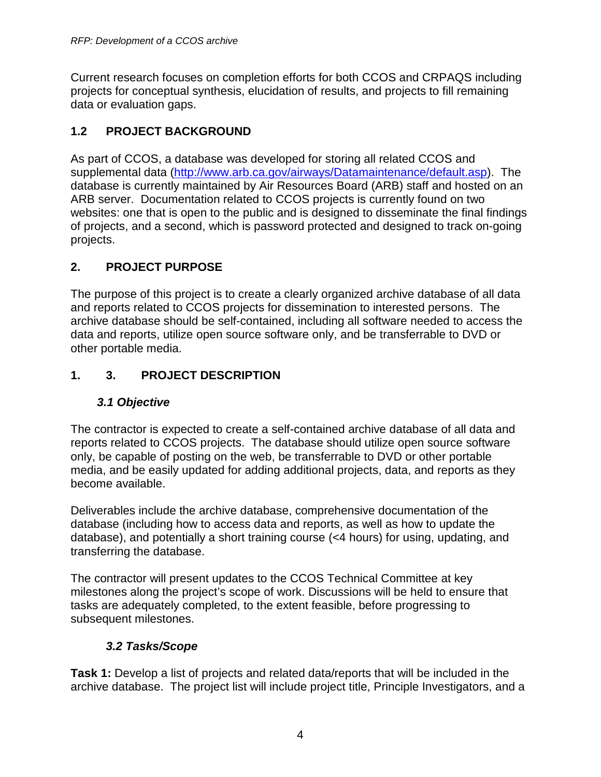Current research focuses on completion efforts for both CCOS and CRPAQS including projects for conceptual synthesis, elucidation of results, and projects to fill remaining data or evaluation gaps.

# **1.2 PROJECT BACKGROUND**

As part of CCOS, a database was developed for storing all related CCOS and supplemental data (http://www.arb.ca.gov/airways/Datamaintenance/default.asp). The database is currently maintained by Air Resources Board (ARB) staff and hosted on an ARB server. Documentation related to CCOS projects is currently found on two websites: one that is open to the public and is designed to disseminate the final findings of projects, and a second, which is password protected and designed to track on-going projects.

# **2. PROJECT PURPOSE**

The purpose of this project is to create a clearly organized archive database of all data and reports related to CCOS projects for dissemination to interested persons. The archive database should be self-contained, including all software needed to access the data and reports, utilize open source software only, and be transferrable to DVD or other portable media.

# **1. 3. PROJECT DESCRIPTION**

## **3.1 Objective**

The contractor is expected to create a self-contained archive database of all data and reports related to CCOS projects. The database should utilize open source software only, be capable of posting on the web, be transferrable to DVD or other portable media, and be easily updated for adding additional projects, data, and reports as they become available.

Deliverables include the archive database, comprehensive documentation of the database (including how to access data and reports, as well as how to update the database), and potentially a short training course (<4 hours) for using, updating, and transferring the database.

The contractor will present updates to the CCOS Technical Committee at key milestones along the project's scope of work. Discussions will be held to ensure that tasks are adequately completed, to the extent feasible, before progressing to subsequent milestones.

## **3.2 Tasks/Scope**

**Task 1:** Develop a list of projects and related data/reports that will be included in the archive database. The project list will include project title, Principle Investigators, and a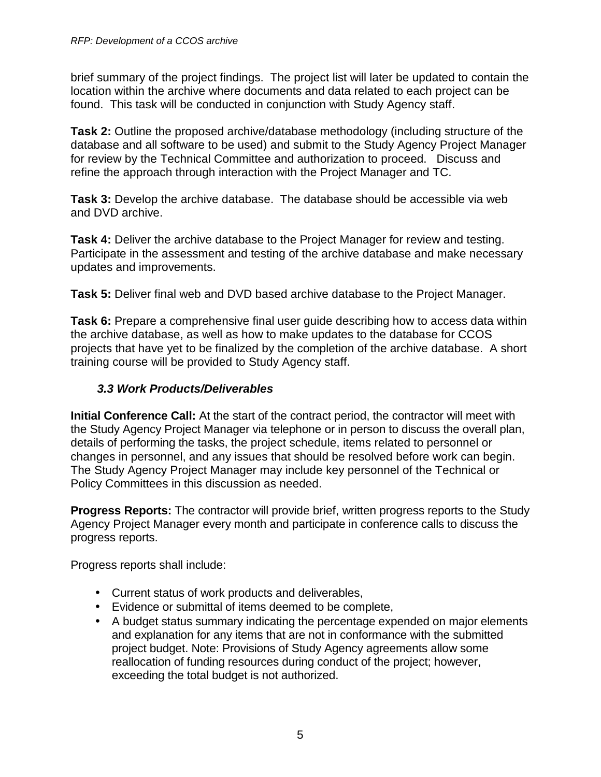brief summary of the project findings. The project list will later be updated to contain the location within the archive where documents and data related to each project can be found. This task will be conducted in conjunction with Study Agency staff.

**Task 2:** Outline the proposed archive/database methodology (including structure of the database and all software to be used) and submit to the Study Agency Project Manager for review by the Technical Committee and authorization to proceed. Discuss and refine the approach through interaction with the Project Manager and TC.

**Task 3:** Develop the archive database. The database should be accessible via web and DVD archive.

**Task 4:** Deliver the archive database to the Project Manager for review and testing. Participate in the assessment and testing of the archive database and make necessary updates and improvements.

**Task 5:** Deliver final web and DVD based archive database to the Project Manager.

**Task 6:** Prepare a comprehensive final user guide describing how to access data within the archive database, as well as how to make updates to the database for CCOS projects that have yet to be finalized by the completion of the archive database. A short training course will be provided to Study Agency staff.

## **3.3 Work Products/Deliverables**

**Initial Conference Call:** At the start of the contract period, the contractor will meet with the Study Agency Project Manager via telephone or in person to discuss the overall plan, details of performing the tasks, the project schedule, items related to personnel or changes in personnel, and any issues that should be resolved before work can begin. The Study Agency Project Manager may include key personnel of the Technical or Policy Committees in this discussion as needed.

**Progress Reports:** The contractor will provide brief, written progress reports to the Study Agency Project Manager every month and participate in conference calls to discuss the progress reports.

Progress reports shall include:

- Current status of work products and deliverables,
- Evidence or submittal of items deemed to be complete,
- A budget status summary indicating the percentage expended on major elements and explanation for any items that are not in conformance with the submitted project budget. Note: Provisions of Study Agency agreements allow some reallocation of funding resources during conduct of the project; however, exceeding the total budget is not authorized.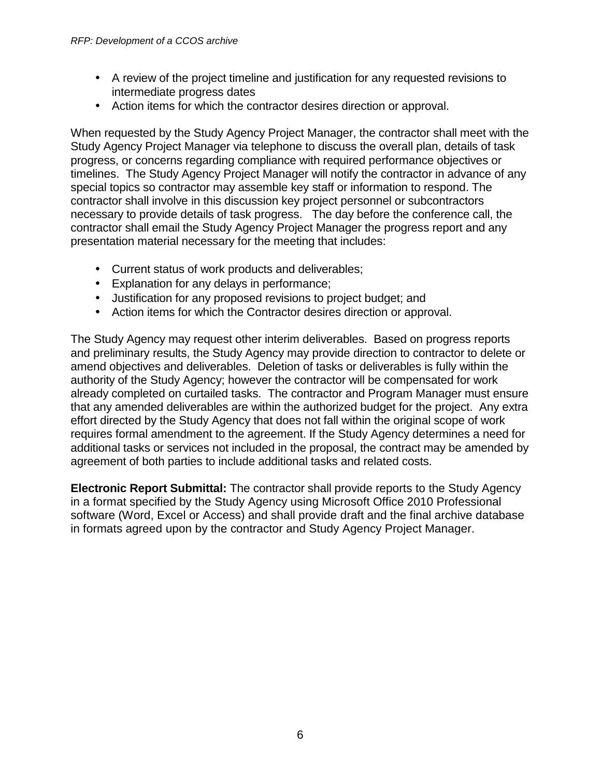- A review of the project timeline and justification for any requested revisions to intermediate progress dates
- Action items for which the contractor desires direction or approval.

When requested by the Study Agency Project Manager, the contractor shall meet with the Study Agency Project Manager via telephone to discuss the overall plan, details of task progress, or concerns regarding compliance with required performance objectives or timelines. The Study Agency Project Manager will notify the contractor in advance of any special topics so contractor may assemble key staff or information to respond. The contractor shall involve in this discussion key project personnel or subcontractors necessary to provide details of task progress. The day before the conference call, the contractor shall email the Study Agency Project Manager the progress report and any presentation material necessary for the meeting that includes:

- Current status of work products and deliverables;
- Explanation for any delays in performance;
- Justification for any proposed revisions to project budget; and
- Action items for which the Contractor desires direction or approval.

The Study Agency may request other interim deliverables. Based on progress reports and preliminary results, the Study Agency may provide direction to contractor to delete or amend objectives and deliverables. Deletion of tasks or deliverables is fully within the authority of the Study Agency; however the contractor will be compensated for work already completed on curtailed tasks. The contractor and Program Manager must ensure that any amended deliverables are within the authorized budget for the project. Any extra effort directed by the Study Agency that does not fall within the original scope of work requires formal amendment to the agreement. If the Study Agency determines a need for additional tasks or services not included in the proposal, the contract may be amended by agreement of both parties to include additional tasks and related costs.

**Electronic Report Submittal:** The contractor shall provide reports to the Study Agency in a format specified by the Study Agency using Microsoft Office 2010 Professional software (Word, Excel or Access) and shall provide draft and the final archive database in formats agreed upon by the contractor and Study Agency Project Manager.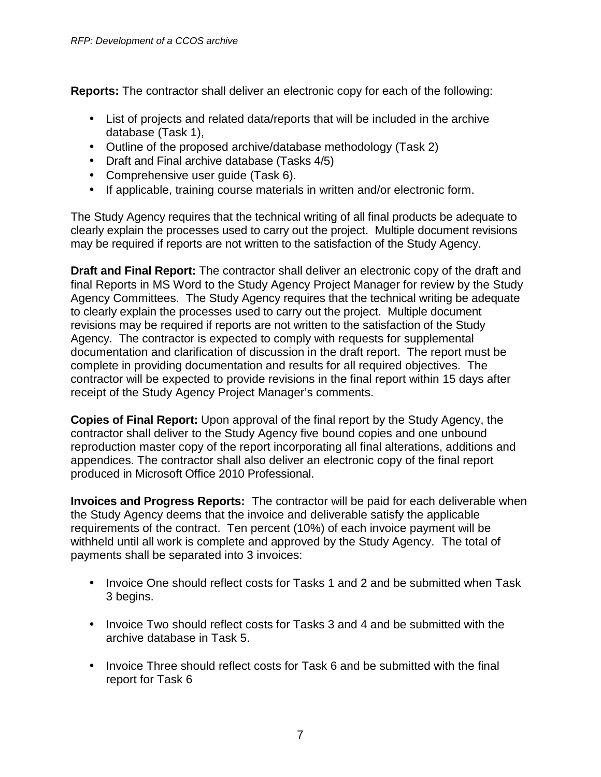**Reports:** The contractor shall deliver an electronic copy for each of the following:

- List of projects and related data/reports that will be included in the archive database (Task 1),
- Outline of the proposed archive/database methodology (Task 2)
- Draft and Final archive database (Tasks 4/5)
- Comprehensive user guide (Task 6).
- If applicable, training course materials in written and/or electronic form.

The Study Agency requires that the technical writing of all final products be adequate to clearly explain the processes used to carry out the project. Multiple document revisions may be required if reports are not written to the satisfaction of the Study Agency.

**Draft and Final Report:** The contractor shall deliver an electronic copy of the draft and final Reports in MS Word to the Study Agency Project Manager for review by the Study Agency Committees. The Study Agency requires that the technical writing be adequate to clearly explain the processes used to carry out the project. Multiple document revisions may be required if reports are not written to the satisfaction of the Study Agency. The contractor is expected to comply with requests for supplemental documentation and clarification of discussion in the draft report. The report must be complete in providing documentation and results for all required objectives. The contractor will be expected to provide revisions in the final report within 15 days after receipt of the Study Agency Project Manager's comments.

**Copies of Final Report:** Upon approval of the final report by the Study Agency, the contractor shall deliver to the Study Agency five bound copies and one unbound reproduction master copy of the report incorporating all final alterations, additions and appendices. The contractor shall also deliver an electronic copy of the final report produced in Microsoft Office 2010 Professional.

**Invoices and Progress Reports:** The contractor will be paid for each deliverable when the Study Agency deems that the invoice and deliverable satisfy the applicable requirements of the contract. Ten percent (10%) of each invoice payment will be withheld until all work is complete and approved by the Study Agency. The total of payments shall be separated into 3 invoices:

- Invoice One should reflect costs for Tasks 1 and 2 and be submitted when Task 3 begins.
- Invoice Two should reflect costs for Tasks 3 and 4 and be submitted with the archive database in Task 5.
- Invoice Three should reflect costs for Task 6 and be submitted with the final report for Task 6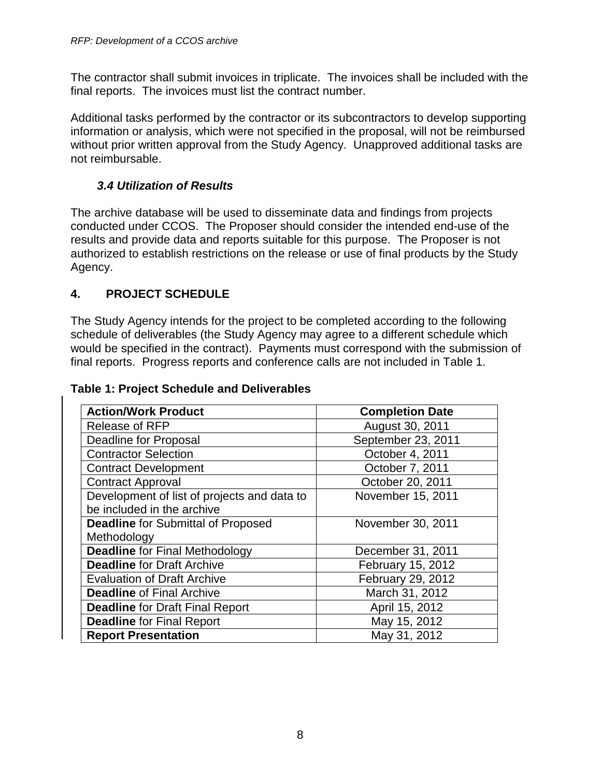The contractor shall submit invoices in triplicate. The invoices shall be included with the final reports. The invoices must list the contract number.

Additional tasks performed by the contractor or its subcontractors to develop supporting information or analysis, which were not specified in the proposal, will not be reimbursed without prior written approval from the Study Agency. Unapproved additional tasks are not reimbursable.

## **3.4 Utilization of Results**

The archive database will be used to disseminate data and findings from projects conducted under CCOS. The Proposer should consider the intended end-use of the results and provide data and reports suitable for this purpose. The Proposer is not authorized to establish restrictions on the release or use of final products by the Study Agency.

## **4. PROJECT SCHEDULE**

The Study Agency intends for the project to be completed according to the following schedule of deliverables (the Study Agency may agree to a different schedule which would be specified in the contract). Payments must correspond with the submission of final reports. Progress reports and conference calls are not included in Table 1.

#### **Table 1: Project Schedule and Deliverables**

| <b>Action/Work Product</b>                  | <b>Completion Date</b> |  |
|---------------------------------------------|------------------------|--|
| <b>Release of RFP</b>                       | August 30, 2011        |  |
| <b>Deadline for Proposal</b>                | September 23, 2011     |  |
| <b>Contractor Selection</b>                 | October 4, 2011        |  |
| <b>Contract Development</b>                 | October 7, 2011        |  |
| <b>Contract Approval</b>                    | October 20, 2011       |  |
| Development of list of projects and data to | November 15, 2011      |  |
| be included in the archive                  |                        |  |
| <b>Deadline</b> for Submittal of Proposed   | November 30, 2011      |  |
| Methodology                                 |                        |  |
| <b>Deadline for Final Methodology</b>       | December 31, 2011      |  |
| <b>Deadline for Draft Archive</b>           | February 15, 2012      |  |
| <b>Evaluation of Draft Archive</b>          | February 29, 2012      |  |
| <b>Deadline of Final Archive</b>            | March 31, 2012         |  |
| <b>Deadline for Draft Final Report</b>      | April 15, 2012         |  |
| <b>Deadline for Final Report</b>            | May 15, 2012           |  |
| <b>Report Presentation</b>                  | May 31, 2012           |  |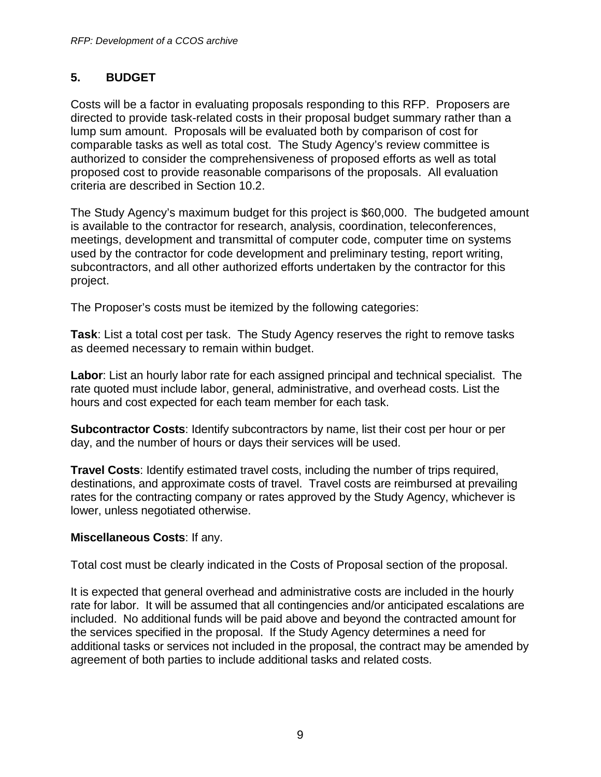#### **5. BUDGET**

Costs will be a factor in evaluating proposals responding to this RFP. Proposers are directed to provide task-related costs in their proposal budget summary rather than a lump sum amount. Proposals will be evaluated both by comparison of cost for comparable tasks as well as total cost. The Study Agency's review committee is authorized to consider the comprehensiveness of proposed efforts as well as total proposed cost to provide reasonable comparisons of the proposals. All evaluation criteria are described in Section 10.2.

The Study Agency's maximum budget for this project is \$60,000. The budgeted amount is available to the contractor for research, analysis, coordination, teleconferences, meetings, development and transmittal of computer code, computer time on systems used by the contractor for code development and preliminary testing, report writing, subcontractors, and all other authorized efforts undertaken by the contractor for this project.

The Proposer's costs must be itemized by the following categories:

**Task**: List a total cost per task. The Study Agency reserves the right to remove tasks as deemed necessary to remain within budget.

**Labor**: List an hourly labor rate for each assigned principal and technical specialist. The rate quoted must include labor, general, administrative, and overhead costs. List the hours and cost expected for each team member for each task.

**Subcontractor Costs**: Identify subcontractors by name, list their cost per hour or per day, and the number of hours or days their services will be used.

**Travel Costs**: Identify estimated travel costs, including the number of trips required, destinations, and approximate costs of travel. Travel costs are reimbursed at prevailing rates for the contracting company or rates approved by the Study Agency, whichever is lower, unless negotiated otherwise.

#### **Miscellaneous Costs**: If any.

Total cost must be clearly indicated in the Costs of Proposal section of the proposal.

It is expected that general overhead and administrative costs are included in the hourly rate for labor. It will be assumed that all contingencies and/or anticipated escalations are included. No additional funds will be paid above and beyond the contracted amount for the services specified in the proposal. If the Study Agency determines a need for additional tasks or services not included in the proposal, the contract may be amended by agreement of both parties to include additional tasks and related costs.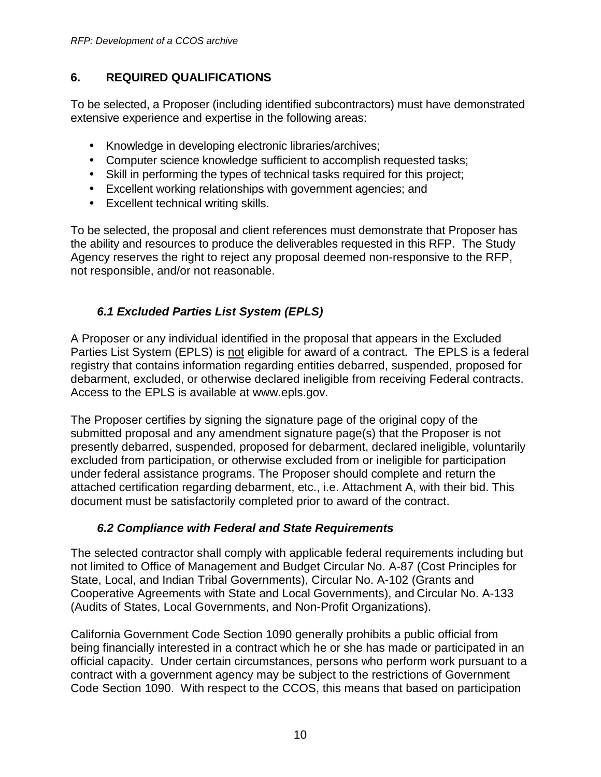## **6. REQUIRED QUALIFICATIONS**

To be selected, a Proposer (including identified subcontractors) must have demonstrated extensive experience and expertise in the following areas:

- Knowledge in developing electronic libraries/archives;
- Computer science knowledge sufficient to accomplish requested tasks;
- Skill in performing the types of technical tasks required for this project;
- Excellent working relationships with government agencies; and
- Excellent technical writing skills.

To be selected, the proposal and client references must demonstrate that Proposer has the ability and resources to produce the deliverables requested in this RFP. The Study Agency reserves the right to reject any proposal deemed non-responsive to the RFP, not responsible, and/or not reasonable.

# **6.1 Excluded Parties List System (EPLS)**

A Proposer or any individual identified in the proposal that appears in the Excluded Parties List System (EPLS) is not eligible for award of a contract. The EPLS is a federal registry that contains information regarding entities debarred, suspended, proposed for debarment, excluded, or otherwise declared ineligible from receiving Federal contracts. Access to the EPLS is available at www.epls.gov.

The Proposer certifies by signing the signature page of the original copy of the submitted proposal and any amendment signature page(s) that the Proposer is not presently debarred, suspended, proposed for debarment, declared ineligible, voluntarily excluded from participation, or otherwise excluded from or ineligible for participation under federal assistance programs. The Proposer should complete and return the attached certification regarding debarment, etc., i.e. Attachment A, with their bid. This document must be satisfactorily completed prior to award of the contract.

## **6.2 Compliance with Federal and State Requirements**

The selected contractor shall comply with applicable federal requirements including but not limited to Office of Management and Budget Circular No. A-87 (Cost Principles for State, Local, and Indian Tribal Governments), Circular No. A-102 (Grants and Cooperative Agreements with State and Local Governments), and Circular No. A-133 (Audits of States, Local Governments, and Non-Profit Organizations).

California Government Code Section 1090 generally prohibits a public official from being financially interested in a contract which he or she has made or participated in an official capacity. Under certain circumstances, persons who perform work pursuant to a contract with a government agency may be subject to the restrictions of Government Code Section 1090. With respect to the CCOS, this means that based on participation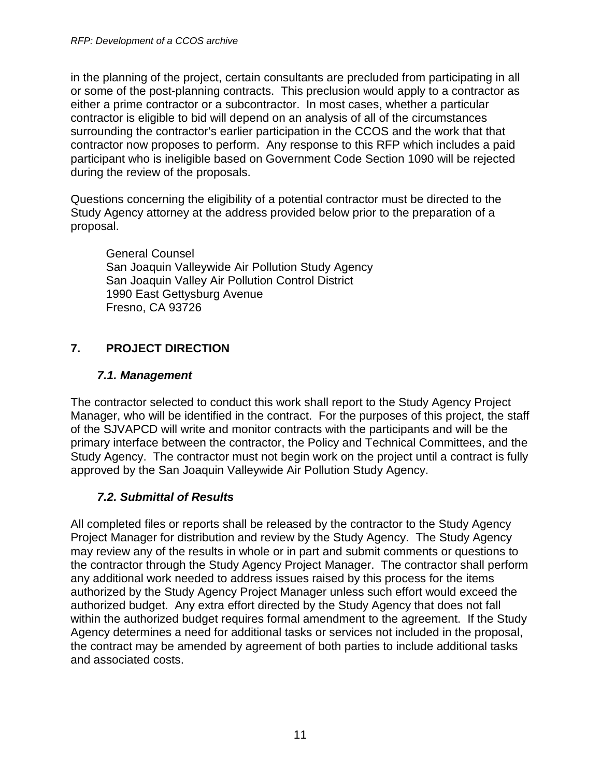in the planning of the project, certain consultants are precluded from participating in all or some of the post-planning contracts. This preclusion would apply to a contractor as either a prime contractor or a subcontractor. In most cases, whether a particular contractor is eligible to bid will depend on an analysis of all of the circumstances surrounding the contractor's earlier participation in the CCOS and the work that that contractor now proposes to perform. Any response to this RFP which includes a paid participant who is ineligible based on Government Code Section 1090 will be rejected during the review of the proposals.

Questions concerning the eligibility of a potential contractor must be directed to the Study Agency attorney at the address provided below prior to the preparation of a proposal.

General Counsel San Joaquin Valleywide Air Pollution Study Agency San Joaquin Valley Air Pollution Control District 1990 East Gettysburg Avenue Fresno, CA 93726

# **7. PROJECT DIRECTION**

## **7.1. Management**

The contractor selected to conduct this work shall report to the Study Agency Project Manager, who will be identified in the contract. For the purposes of this project, the staff of the SJVAPCD will write and monitor contracts with the participants and will be the primary interface between the contractor, the Policy and Technical Committees, and the Study Agency. The contractor must not begin work on the project until a contract is fully approved by the San Joaquin Valleywide Air Pollution Study Agency.

# **7.2. Submittal of Results**

All completed files or reports shall be released by the contractor to the Study Agency Project Manager for distribution and review by the Study Agency. The Study Agency may review any of the results in whole or in part and submit comments or questions to the contractor through the Study Agency Project Manager. The contractor shall perform any additional work needed to address issues raised by this process for the items authorized by the Study Agency Project Manager unless such effort would exceed the authorized budget. Any extra effort directed by the Study Agency that does not fall within the authorized budget requires formal amendment to the agreement. If the Study Agency determines a need for additional tasks or services not included in the proposal, the contract may be amended by agreement of both parties to include additional tasks and associated costs.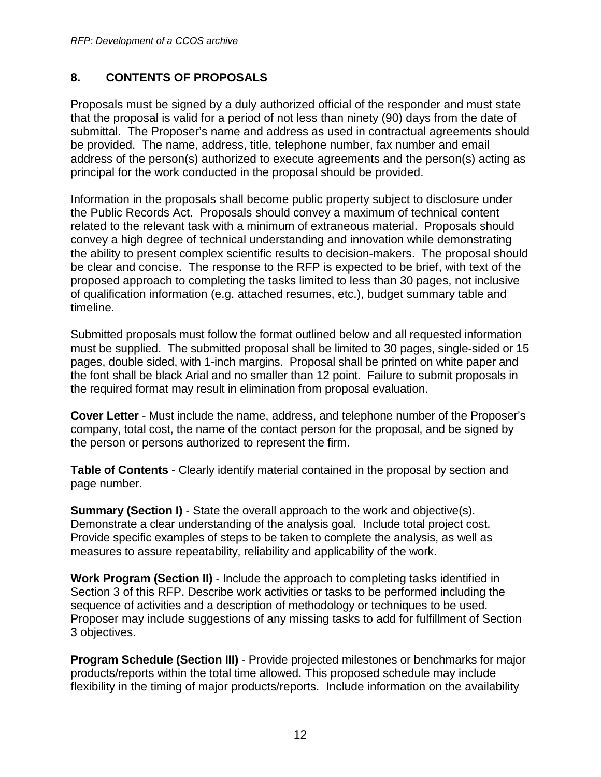#### **8. CONTENTS OF PROPOSALS**

Proposals must be signed by a duly authorized official of the responder and must state that the proposal is valid for a period of not less than ninety (90) days from the date of submittal. The Proposer's name and address as used in contractual agreements should be provided. The name, address, title, telephone number, fax number and email address of the person(s) authorized to execute agreements and the person(s) acting as principal for the work conducted in the proposal should be provided.

Information in the proposals shall become public property subject to disclosure under the Public Records Act. Proposals should convey a maximum of technical content related to the relevant task with a minimum of extraneous material. Proposals should convey a high degree of technical understanding and innovation while demonstrating the ability to present complex scientific results to decision-makers. The proposal should be clear and concise. The response to the RFP is expected to be brief, with text of the proposed approach to completing the tasks limited to less than 30 pages, not inclusive of qualification information (e.g. attached resumes, etc.), budget summary table and timeline.

Submitted proposals must follow the format outlined below and all requested information must be supplied. The submitted proposal shall be limited to 30 pages, single-sided or 15 pages, double sided, with 1-inch margins. Proposal shall be printed on white paper and the font shall be black Arial and no smaller than 12 point. Failure to submit proposals in the required format may result in elimination from proposal evaluation.

**Cover Letter** - Must include the name, address, and telephone number of the Proposer's company, total cost, the name of the contact person for the proposal, and be signed by the person or persons authorized to represent the firm.

**Table of Contents** - Clearly identify material contained in the proposal by section and page number.

**Summary (Section I)** - State the overall approach to the work and objective(s). Demonstrate a clear understanding of the analysis goal. Include total project cost. Provide specific examples of steps to be taken to complete the analysis, as well as measures to assure repeatability, reliability and applicability of the work.

**Work Program (Section II)** - Include the approach to completing tasks identified in Section 3 of this RFP. Describe work activities or tasks to be performed including the sequence of activities and a description of methodology or techniques to be used. Proposer may include suggestions of any missing tasks to add for fulfillment of Section 3 objectives.

**Program Schedule (Section III)** - Provide projected milestones or benchmarks for major products/reports within the total time allowed. This proposed schedule may include flexibility in the timing of major products/reports. Include information on the availability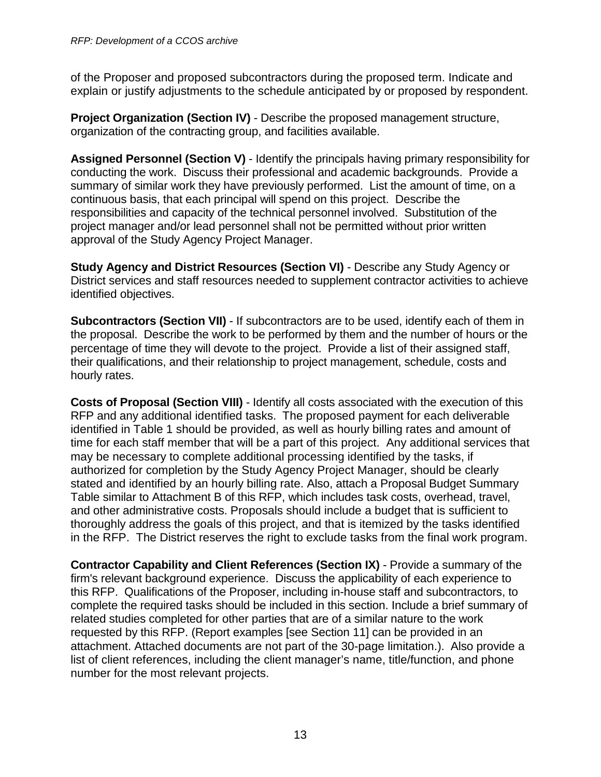of the Proposer and proposed subcontractors during the proposed term. Indicate and explain or justify adjustments to the schedule anticipated by or proposed by respondent.

**Project Organization (Section IV)** - Describe the proposed management structure, organization of the contracting group, and facilities available.

**Assigned Personnel (Section V)** - Identify the principals having primary responsibility for conducting the work. Discuss their professional and academic backgrounds. Provide a summary of similar work they have previously performed. List the amount of time, on a continuous basis, that each principal will spend on this project. Describe the responsibilities and capacity of the technical personnel involved. Substitution of the project manager and/or lead personnel shall not be permitted without prior written approval of the Study Agency Project Manager.

**Study Agency and District Resources (Section VI)** - Describe any Study Agency or District services and staff resources needed to supplement contractor activities to achieve identified objectives.

**Subcontractors (Section VII)** - If subcontractors are to be used, identify each of them in the proposal. Describe the work to be performed by them and the number of hours or the percentage of time they will devote to the project. Provide a list of their assigned staff, their qualifications, and their relationship to project management, schedule, costs and hourly rates.

**Costs of Proposal (Section VIII)** - Identify all costs associated with the execution of this RFP and any additional identified tasks. The proposed payment for each deliverable identified in Table 1 should be provided, as well as hourly billing rates and amount of time for each staff member that will be a part of this project. Any additional services that may be necessary to complete additional processing identified by the tasks, if authorized for completion by the Study Agency Project Manager, should be clearly stated and identified by an hourly billing rate. Also, attach a Proposal Budget Summary Table similar to Attachment B of this RFP, which includes task costs, overhead, travel, and other administrative costs. Proposals should include a budget that is sufficient to thoroughly address the goals of this project, and that is itemized by the tasks identified in the RFP. The District reserves the right to exclude tasks from the final work program.

**Contractor Capability and Client References (Section IX)** - Provide a summary of the firm's relevant background experience. Discuss the applicability of each experience to this RFP. Qualifications of the Proposer, including in-house staff and subcontractors, to complete the required tasks should be included in this section. Include a brief summary of related studies completed for other parties that are of a similar nature to the work requested by this RFP. (Report examples [see Section 11] can be provided in an attachment. Attached documents are not part of the 30-page limitation.). Also provide a list of client references, including the client manager's name, title/function, and phone number for the most relevant projects.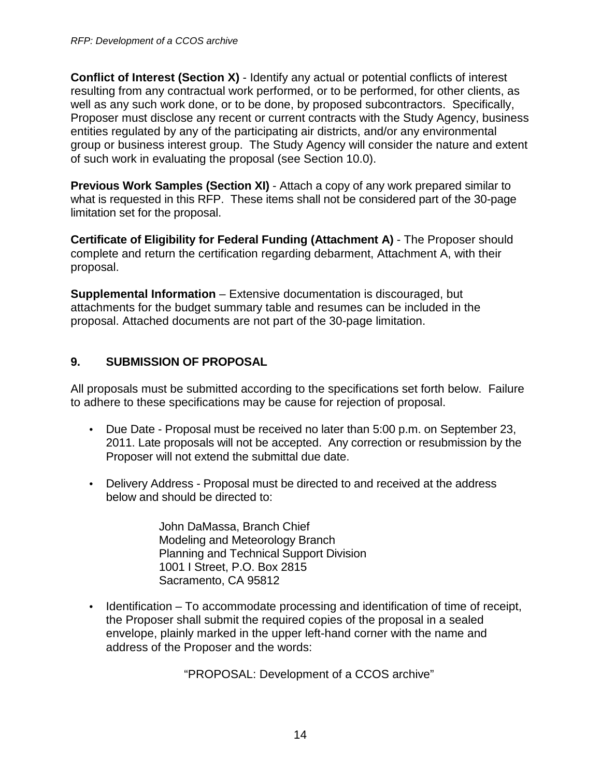**Conflict of Interest (Section X)** - Identify any actual or potential conflicts of interest resulting from any contractual work performed, or to be performed, for other clients, as well as any such work done, or to be done, by proposed subcontractors. Specifically, Proposer must disclose any recent or current contracts with the Study Agency, business entities regulated by any of the participating air districts, and/or any environmental group or business interest group. The Study Agency will consider the nature and extent of such work in evaluating the proposal (see Section 10.0).

**Previous Work Samples (Section XI)** - Attach a copy of any work prepared similar to what is requested in this RFP. These items shall not be considered part of the 30-page limitation set for the proposal.

**Certificate of Eligibility for Federal Funding (Attachment A)** - The Proposer should complete and return the certification regarding debarment, Attachment A, with their proposal.

**Supplemental Information** – Extensive documentation is discouraged, but attachments for the budget summary table and resumes can be included in the proposal. Attached documents are not part of the 30-page limitation.

#### **9. SUBMISSION OF PROPOSAL**

All proposals must be submitted according to the specifications set forth below. Failure to adhere to these specifications may be cause for rejection of proposal.

- Due Date Proposal must be received no later than 5:00 p.m. on September 23, 2011. Late proposals will not be accepted. Any correction or resubmission by the Proposer will not extend the submittal due date.
- Delivery Address Proposal must be directed to and received at the address below and should be directed to:

John DaMassa, Branch Chief Modeling and Meteorology Branch Planning and Technical Support Division 1001 I Street, P.O. Box 2815 Sacramento, CA 95812

• Identification – To accommodate processing and identification of time of receipt, the Proposer shall submit the required copies of the proposal in a sealed envelope, plainly marked in the upper left-hand corner with the name and address of the Proposer and the words:

"PROPOSAL: Development of a CCOS archive"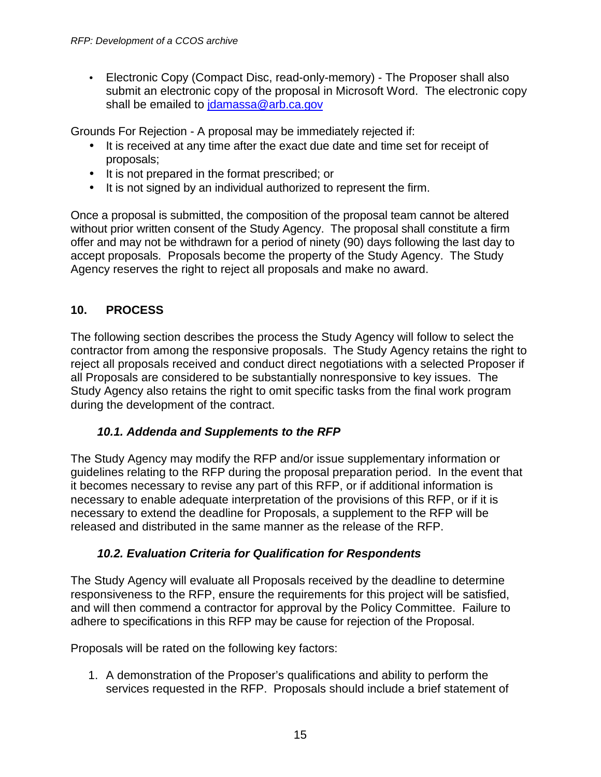• Electronic Copy (Compact Disc, read-only-memory) - The Proposer shall also submit an electronic copy of the proposal in Microsoft Word. The electronic copy shall be emailed to jdamassa@arb.ca.gov

Grounds For Rejection - A proposal may be immediately rejected if:

- It is received at any time after the exact due date and time set for receipt of proposals;
- It is not prepared in the format prescribed; or
- It is not signed by an individual authorized to represent the firm.

Once a proposal is submitted, the composition of the proposal team cannot be altered without prior written consent of the Study Agency. The proposal shall constitute a firm offer and may not be withdrawn for a period of ninety (90) days following the last day to accept proposals. Proposals become the property of the Study Agency. The Study Agency reserves the right to reject all proposals and make no award.

## **10. PROCESS**

The following section describes the process the Study Agency will follow to select the contractor from among the responsive proposals. The Study Agency retains the right to reject all proposals received and conduct direct negotiations with a selected Proposer if all Proposals are considered to be substantially nonresponsive to key issues. The Study Agency also retains the right to omit specific tasks from the final work program during the development of the contract.

## **10.1. Addenda and Supplements to the RFP**

The Study Agency may modify the RFP and/or issue supplementary information or guidelines relating to the RFP during the proposal preparation period. In the event that it becomes necessary to revise any part of this RFP, or if additional information is necessary to enable adequate interpretation of the provisions of this RFP, or if it is necessary to extend the deadline for Proposals, a supplement to the RFP will be released and distributed in the same manner as the release of the RFP.

## **10.2. Evaluation Criteria for Qualification for Respondents**

The Study Agency will evaluate all Proposals received by the deadline to determine responsiveness to the RFP, ensure the requirements for this project will be satisfied, and will then commend a contractor for approval by the Policy Committee. Failure to adhere to specifications in this RFP may be cause for rejection of the Proposal.

Proposals will be rated on the following key factors:

1. A demonstration of the Proposer's qualifications and ability to perform the services requested in the RFP. Proposals should include a brief statement of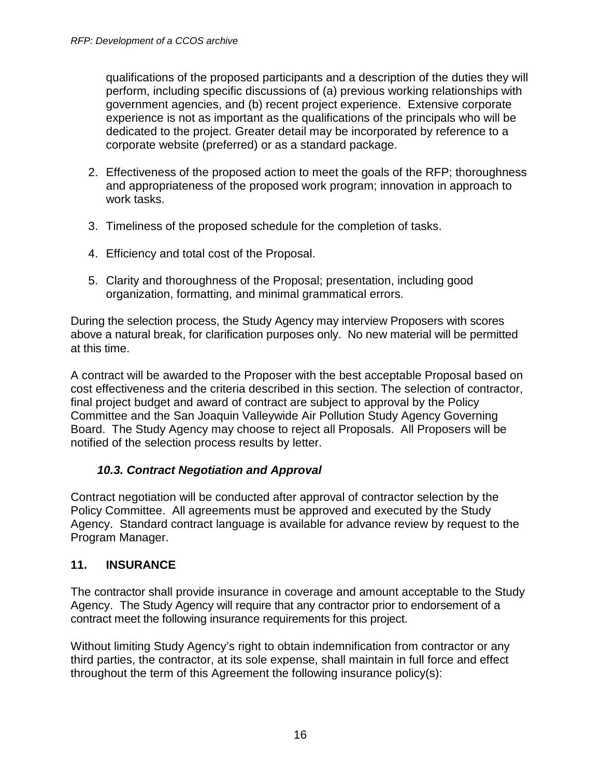qualifications of the proposed participants and a description of the duties they will perform, including specific discussions of (a) previous working relationships with government agencies, and (b) recent project experience. Extensive corporate experience is not as important as the qualifications of the principals who will be dedicated to the project. Greater detail may be incorporated by reference to a corporate website (preferred) or as a standard package.

- 2. Effectiveness of the proposed action to meet the goals of the RFP; thoroughness and appropriateness of the proposed work program; innovation in approach to work tasks.
- 3. Timeliness of the proposed schedule for the completion of tasks.
- 4. Efficiency and total cost of the Proposal.
- 5. Clarity and thoroughness of the Proposal; presentation, including good organization, formatting, and minimal grammatical errors.

During the selection process, the Study Agency may interview Proposers with scores above a natural break, for clarification purposes only. No new material will be permitted at this time.

A contract will be awarded to the Proposer with the best acceptable Proposal based on cost effectiveness and the criteria described in this section. The selection of contractor, final project budget and award of contract are subject to approval by the Policy Committee and the San Joaquin Valleywide Air Pollution Study Agency Governing Board. The Study Agency may choose to reject all Proposals. All Proposers will be notified of the selection process results by letter.

#### **10.3. Contract Negotiation and Approval**

Contract negotiation will be conducted after approval of contractor selection by the Policy Committee. All agreements must be approved and executed by the Study Agency. Standard contract language is available for advance review by request to the Program Manager.

#### **11. INSURANCE**

The contractor shall provide insurance in coverage and amount acceptable to the Study Agency. The Study Agency will require that any contractor prior to endorsement of a contract meet the following insurance requirements for this project.

Without limiting Study Agency's right to obtain indemnification from contractor or any third parties, the contractor, at its sole expense, shall maintain in full force and effect throughout the term of this Agreement the following insurance policy(s):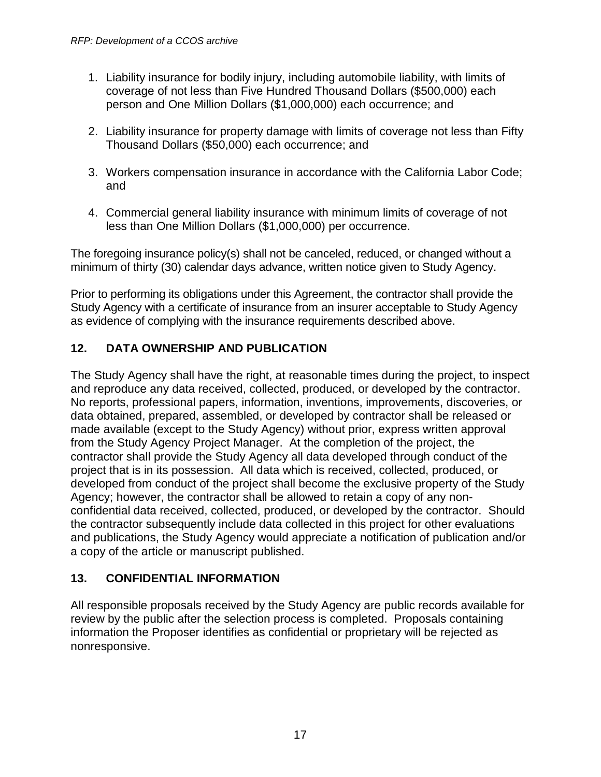- 1. Liability insurance for bodily injury, including automobile liability, with limits of coverage of not less than Five Hundred Thousand Dollars (\$500,000) each person and One Million Dollars (\$1,000,000) each occurrence; and
- 2. Liability insurance for property damage with limits of coverage not less than Fifty Thousand Dollars (\$50,000) each occurrence; and
- 3. Workers compensation insurance in accordance with the California Labor Code; and
- 4. Commercial general liability insurance with minimum limits of coverage of not less than One Million Dollars (\$1,000,000) per occurrence.

The foregoing insurance policy(s) shall not be canceled, reduced, or changed without a minimum of thirty (30) calendar days advance, written notice given to Study Agency.

Prior to performing its obligations under this Agreement, the contractor shall provide the Study Agency with a certificate of insurance from an insurer acceptable to Study Agency as evidence of complying with the insurance requirements described above.

## **12. DATA OWNERSHIP AND PUBLICATION**

The Study Agency shall have the right, at reasonable times during the project, to inspect and reproduce any data received, collected, produced, or developed by the contractor. No reports, professional papers, information, inventions, improvements, discoveries, or data obtained, prepared, assembled, or developed by contractor shall be released or made available (except to the Study Agency) without prior, express written approval from the Study Agency Project Manager. At the completion of the project, the contractor shall provide the Study Agency all data developed through conduct of the project that is in its possession. All data which is received, collected, produced, or developed from conduct of the project shall become the exclusive property of the Study Agency; however, the contractor shall be allowed to retain a copy of any nonconfidential data received, collected, produced, or developed by the contractor. Should the contractor subsequently include data collected in this project for other evaluations and publications, the Study Agency would appreciate a notification of publication and/or a copy of the article or manuscript published.

## **13. CONFIDENTIAL INFORMATION**

All responsible proposals received by the Study Agency are public records available for review by the public after the selection process is completed. Proposals containing information the Proposer identifies as confidential or proprietary will be rejected as nonresponsive.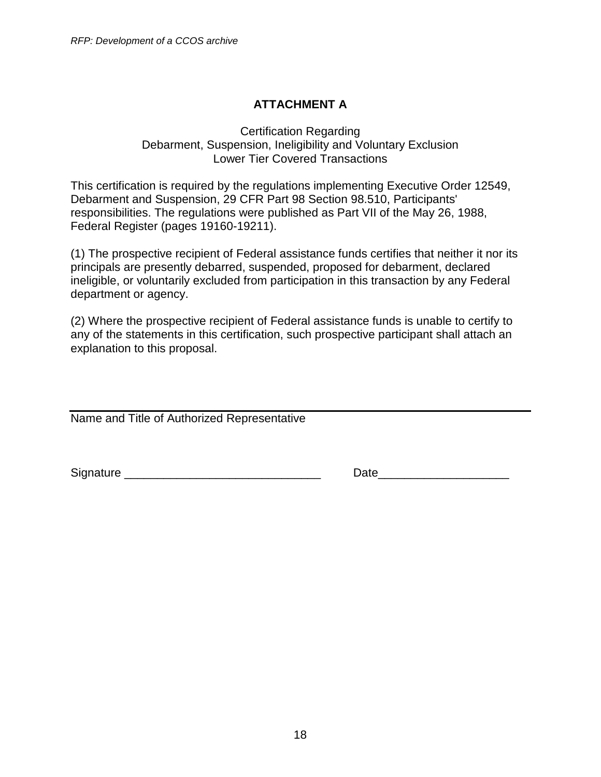# **ATTACHMENT A**

#### Certification Regarding Debarment, Suspension, Ineligibility and Voluntary Exclusion Lower Tier Covered Transactions

This certification is required by the regulations implementing Executive Order 12549, Debarment and Suspension, 29 CFR Part 98 Section 98.510, Participants' responsibilities. The regulations were published as Part VII of the May 26, 1988, Federal Register (pages 19160-19211).

(1) The prospective recipient of Federal assistance funds certifies that neither it nor its principals are presently debarred, suspended, proposed for debarment, declared ineligible, or voluntarily excluded from participation in this transaction by any Federal department or agency.

(2) Where the prospective recipient of Federal assistance funds is unable to certify to any of the statements in this certification, such prospective participant shall attach an explanation to this proposal.

Name and Title of Authorized Representative

Signature \_\_\_\_\_\_\_\_\_\_\_\_\_\_\_\_\_\_\_\_\_\_\_\_\_\_\_\_\_\_ Date\_\_\_\_\_\_\_\_\_\_\_\_\_\_\_\_\_\_\_\_